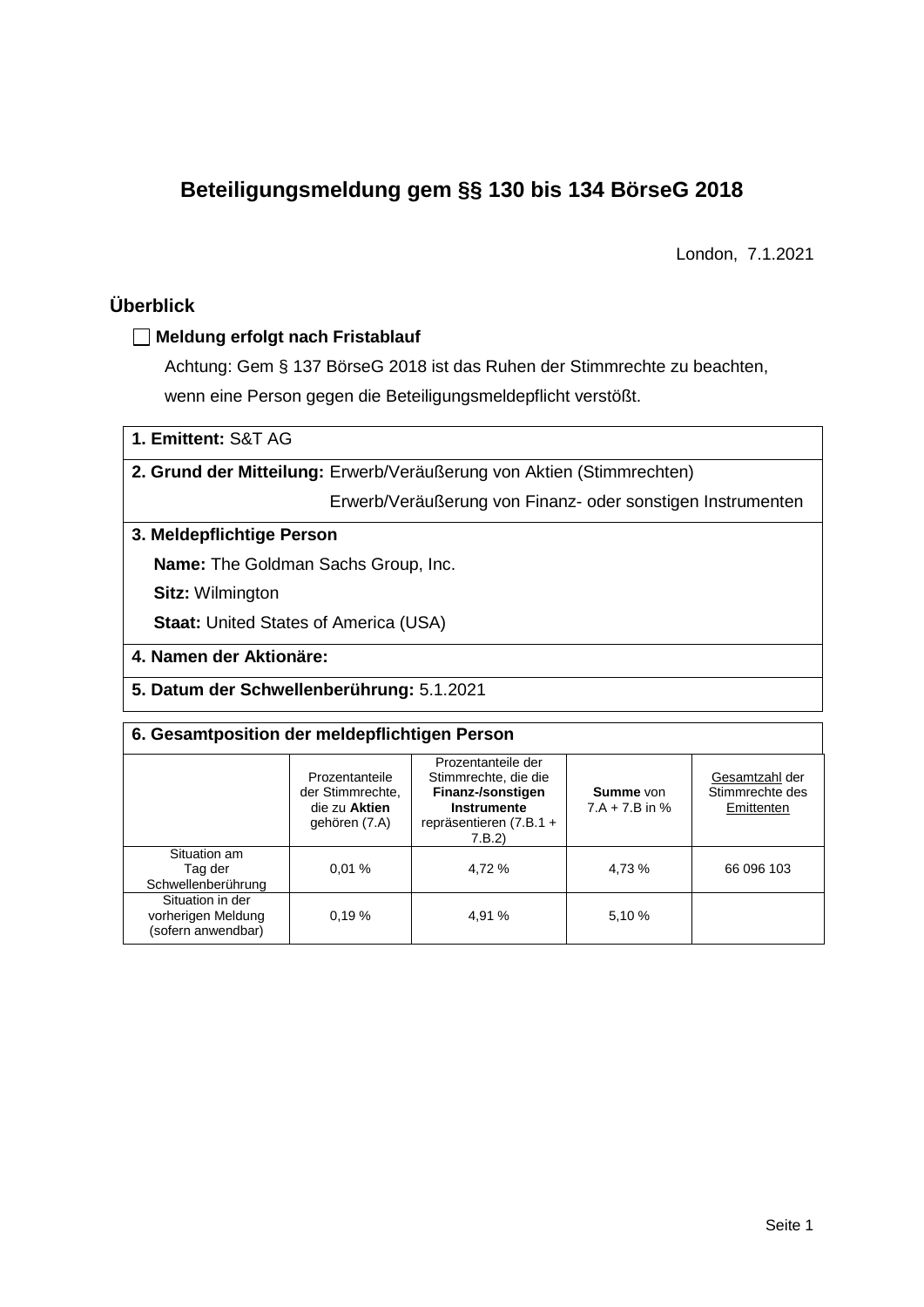# **Beteiligungsmeldung gem §§ 130 bis 134 BörseG 2018**

London, 7.1.2021

# **Überblick**

# **Meldung erfolgt nach Fristablauf**

Achtung: Gem § 137 BörseG 2018 ist das Ruhen der Stimmrechte zu beachten, wenn eine Person gegen die Beteiligungsmeldepflicht verstößt.

# **1. Emittent:** S&T AG

## **2. Grund der Mitteilung:** Erwerb/Veräußerung von Aktien (Stimmrechten)

Erwerb/Veräußerung von Finanz- oder sonstigen Instrumenten

# **3. Meldepflichtige Person**

**Name:** The Goldman Sachs Group, Inc.

**Sitz:** Wilmington

**Staat: United States of America (USA)** 

### **4. Namen der Aktionäre:**

**5. Datum der Schwellenberührung:** 5.1.2021

# **6. Gesamtposition der meldepflichtigen Person**

|                                                              | Prozentanteile<br>der Stimmrechte,<br>die zu Aktien<br>gehören (7.A) | Prozentanteile der<br>Stimmrechte, die die<br>Finanz-/sonstigen<br><b>Instrumente</b><br>repräsentieren (7.B.1 +<br>7.B.2 | Summe von<br>$7.A + 7.B$ in % | Gesamtzahl der<br>Stimmrechte des<br>Emittenten |
|--------------------------------------------------------------|----------------------------------------------------------------------|---------------------------------------------------------------------------------------------------------------------------|-------------------------------|-------------------------------------------------|
| Situation am<br>Tag der<br>Schwellenberührung                | 0.01%                                                                | 4.72 %                                                                                                                    | 4,73 %                        | 66 096 103                                      |
| Situation in der<br>vorherigen Meldung<br>(sofern anwendbar) | 0.19%                                                                | 4,91 %                                                                                                                    | 5,10 %                        |                                                 |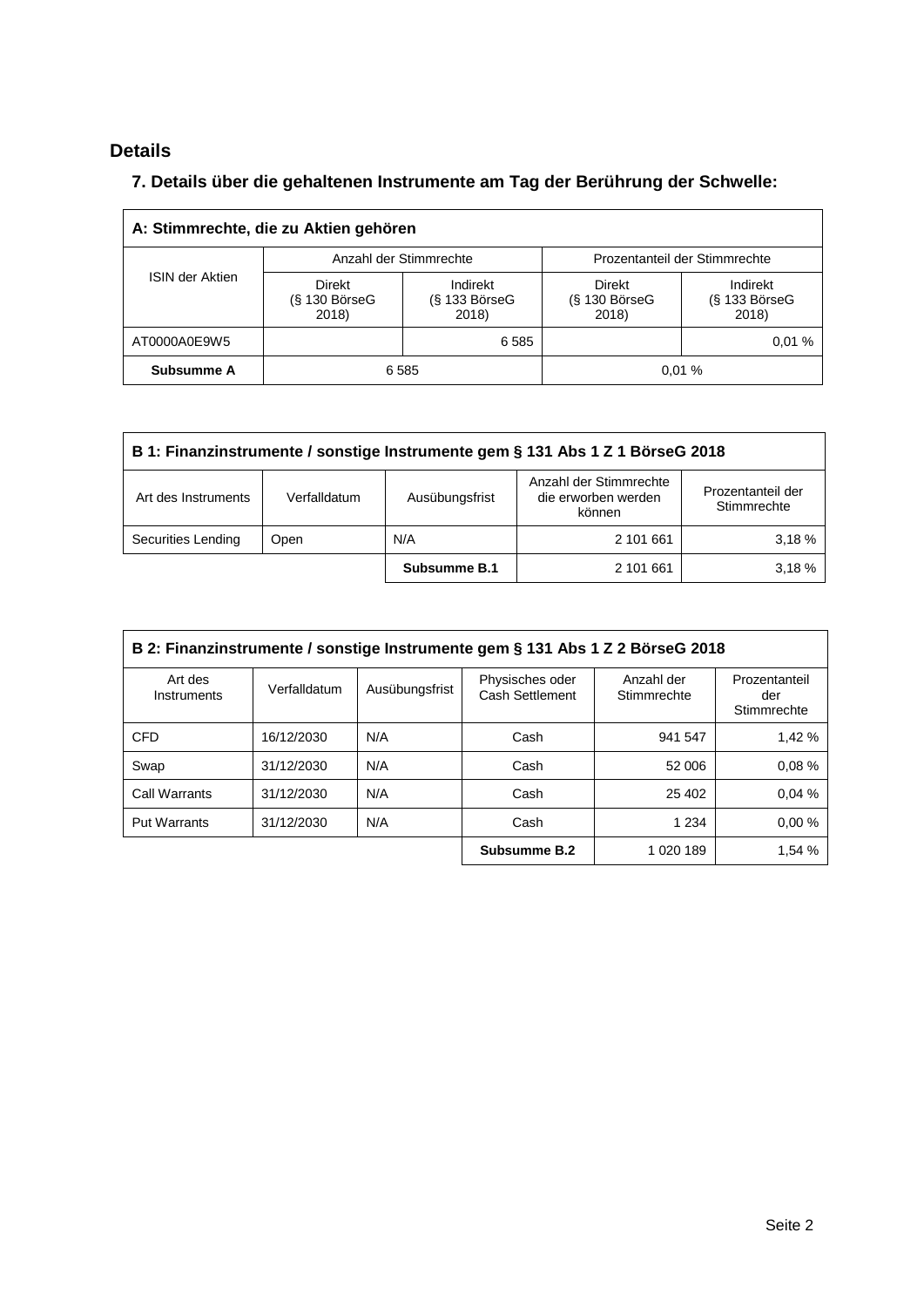# **Details**

# **7. Details über die gehaltenen Instrumente am Tag der Berührung der Schwelle:**

| A: Stimmrechte, die zu Aktien gehören |                                           |                                      |                                    |                                      |  |  |  |
|---------------------------------------|-------------------------------------------|--------------------------------------|------------------------------------|--------------------------------------|--|--|--|
|                                       |                                           | Anzahl der Stimmrechte               | Prozentanteil der Stimmrechte      |                                      |  |  |  |
| <b>ISIN der Aktien</b>                | <b>Direkt</b><br>$(S$ 130 BörseG<br>2018) | Indirekt<br>$(S$ 133 BörseG<br>2018) | Direkt<br>$(S$ 130 BörseG<br>2018) | Indirekt<br>$(S$ 133 BörseG<br>2018) |  |  |  |
| AT0000A0E9W5                          |                                           | 6 5 8 5                              |                                    | 0.01%                                |  |  |  |
| Subsumme A                            | 0.01%<br>6585                             |                                      |                                    |                                      |  |  |  |

| B 1: Finanzinstrumente / sonstige Instrumente gem § 131 Abs 1 Z 1 BörseG 2018 |                                                                                                                               |              |           |       |  |  |
|-------------------------------------------------------------------------------|-------------------------------------------------------------------------------------------------------------------------------|--------------|-----------|-------|--|--|
| Art des Instruments                                                           | Anzahl der Stimmrechte<br>Prozentanteil der<br>die erworben werden<br>Ausübungsfrist<br>Verfalldatum<br>Stimmrechte<br>können |              |           |       |  |  |
| Securities Lending                                                            | Open                                                                                                                          | N/A          | 2 101 661 | 3.18% |  |  |
|                                                                               |                                                                                                                               | Subsumme B.1 | 2 101 661 | 3.18% |  |  |

| B 2: Finanzinstrumente / sonstige Instrumente gem § 131 Abs 1 Z 2 BörseG 2018 |              |                |                                    |                           |                                     |  |  |
|-------------------------------------------------------------------------------|--------------|----------------|------------------------------------|---------------------------|-------------------------------------|--|--|
| Art des<br>Instruments                                                        | Verfalldatum | Ausübungsfrist | Physisches oder<br>Cash Settlement | Anzahl der<br>Stimmrechte | Prozentanteil<br>der<br>Stimmrechte |  |  |
| <b>CFD</b>                                                                    | 16/12/2030   | N/A            | Cash                               | 941 547                   | 1.42%                               |  |  |
| Swap                                                                          | 31/12/2030   | N/A            | Cash                               | 52 006                    | 0.08%                               |  |  |
| Call Warrants                                                                 | 31/12/2030   | N/A            | Cash                               | 25 402                    | 0.04%                               |  |  |
| <b>Put Warrants</b>                                                           | 31/12/2030   | N/A            | Cash                               | 1 2 3 4                   | 0.00%                               |  |  |
|                                                                               |              |                | Subsumme B.2                       | 1 020 189                 | 1,54 %                              |  |  |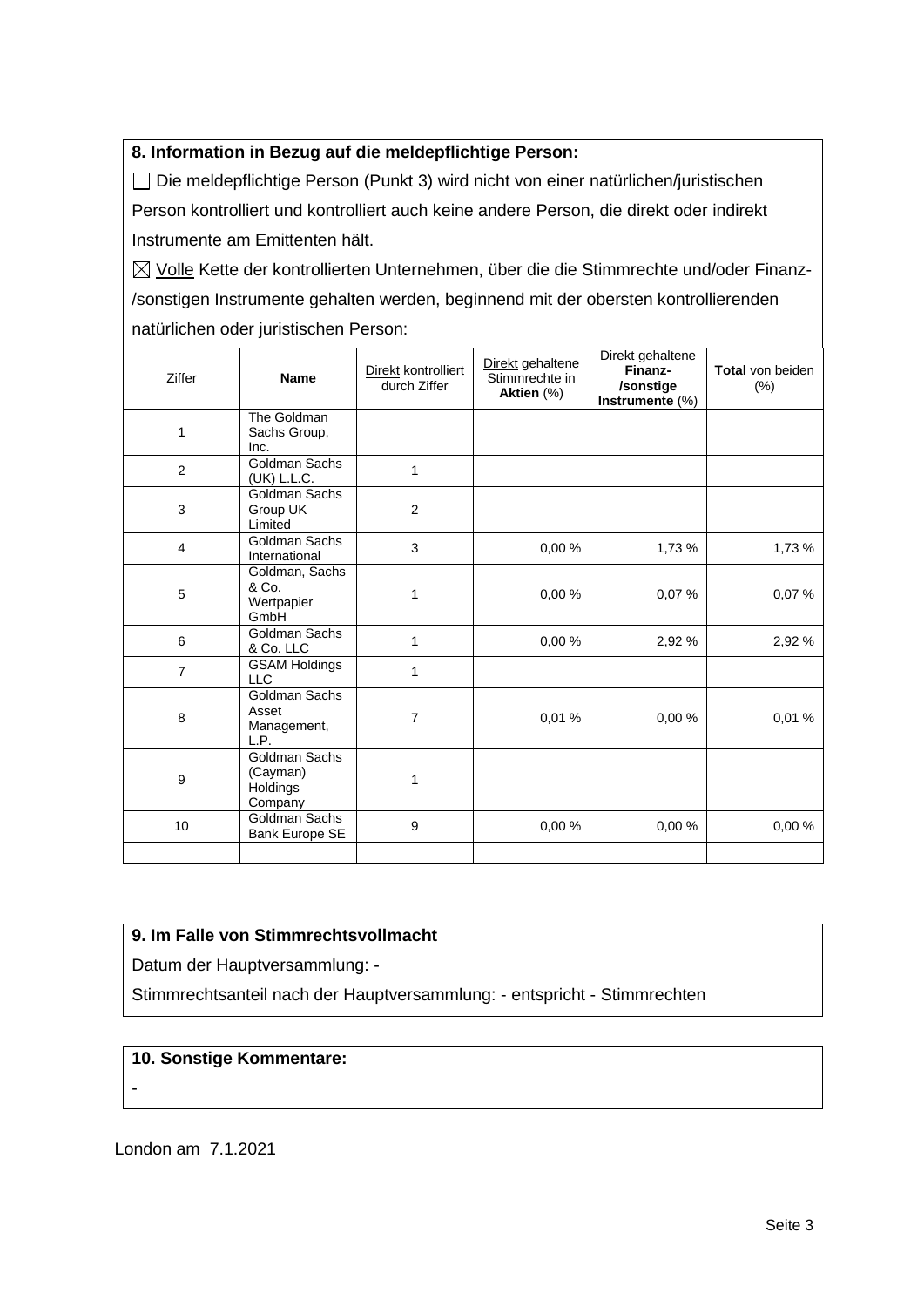## **8. Information in Bezug auf die meldepflichtige Person:**

Die meldepflichtige Person (Punkt 3) wird nicht von einer natürlichen/juristischen Person kontrolliert und kontrolliert auch keine andere Person, die direkt oder indirekt Instrumente am Emittenten hält.

 $\boxtimes$  Volle Kette der kontrollierten Unternehmen, über die die Stimmrechte und/oder Finanz-/sonstigen Instrumente gehalten werden, beginnend mit der obersten kontrollierenden natürlichen oder juristischen Person:

| Ziffer         | <b>Name</b>                                      | Direkt kontrolliert<br>durch Ziffer | Direkt gehaltene<br>Stimmrechte in<br>Aktien (%) | Direkt gehaltene<br>Finanz-<br>/sonstige<br>Instrumente (%) | <b>Total von beiden</b><br>(% ) |
|----------------|--------------------------------------------------|-------------------------------------|--------------------------------------------------|-------------------------------------------------------------|---------------------------------|
| 1              | The Goldman<br>Sachs Group,<br>Inc.              |                                     |                                                  |                                                             |                                 |
| 2              | Goldman Sachs<br>(UK) L.L.C.                     | 1                                   |                                                  |                                                             |                                 |
| 3              | Goldman Sachs<br>Group UK<br>Limited             | $\overline{2}$                      |                                                  |                                                             |                                 |
| $\overline{4}$ | Goldman Sachs<br>International                   | 3                                   | 0.00%                                            | 1,73 %                                                      | 1,73 %                          |
| 5              | Goldman, Sachs<br>& Co.<br>Wertpapier<br>GmbH    | 1                                   | 0,00%                                            | 0,07%                                                       | 0,07%                           |
| 6              | Goldman Sachs<br>& Co. LLC                       | 1                                   | 0.00%                                            | 2,92 %                                                      | 2,92 %                          |
| $\overline{7}$ | <b>GSAM Holdings</b><br><b>LLC</b>               | 1                                   |                                                  |                                                             |                                 |
| 8              | Goldman Sachs<br>Asset<br>Management,<br>L.P.    | $\overline{7}$                      | 0,01%                                            | 0,00%                                                       | 0,01%                           |
| 9              | Goldman Sachs<br>(Cayman)<br>Holdings<br>Company | 1                                   |                                                  |                                                             |                                 |
| 10             | Goldman Sachs<br>Bank Europe SE                  | $\boldsymbol{9}$                    | 0,00%                                            | 0,00%                                                       | 0,00%                           |
|                |                                                  |                                     |                                                  |                                                             |                                 |

#### **9. Im Falle von Stimmrechtsvollmacht**

Datum der Hauptversammlung: -

Stimmrechtsanteil nach der Hauptversammlung: - entspricht - Stimmrechten

#### **10. Sonstige Kommentare:**

-

London am 7.1.2021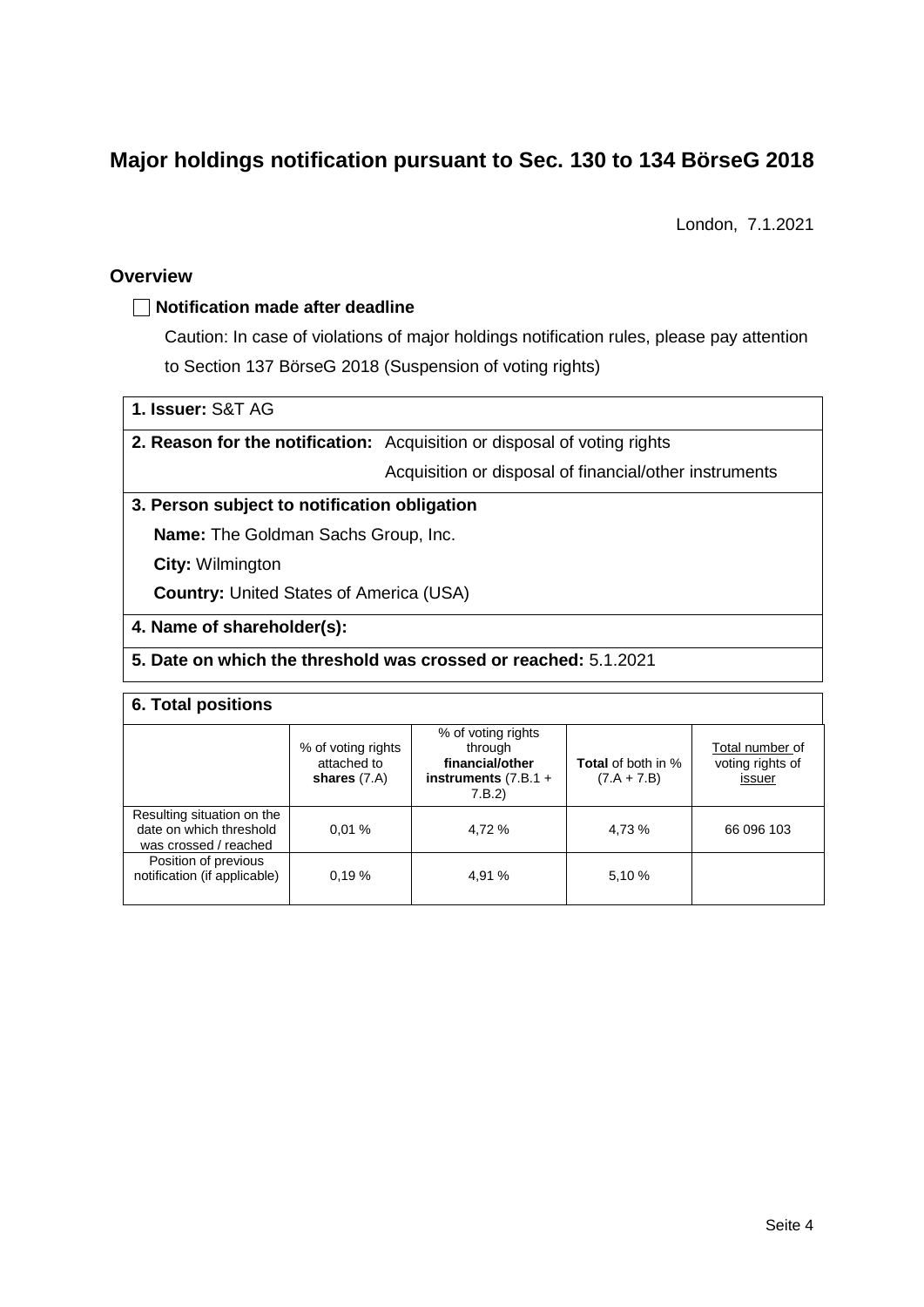# **Major holdings notification pursuant to Sec. 130 to 134 BörseG 2018**

London, 7.1.2021

#### **Overview**

#### **Notification made after deadline**

Caution: In case of violations of major holdings notification rules, please pay attention to Section 137 BörseG 2018 (Suspension of voting rights)

## **1. Issuer:** S&T AG

## **2. Reason for the notification:** Acquisition or disposal of voting rights

Acquisition or disposal of financial/other instruments

#### **3. Person subject to notification obligation**

**Name:** The Goldman Sachs Group, Inc.

**City:** Wilmington

**Country:** United States of America (USA)

#### **4. Name of shareholder(s):**

#### **5. Date on which the threshold was crossed or reached:** 5.1.2021

## **6. Total positions**

|                                                                                | % of voting rights<br>attached to<br>shares $(7.A)$ | % of voting rights<br>through<br>financial/other<br>instruments $(7.B.1 +$<br>7.B.2 | <b>Total</b> of both in %<br>$(7.A + 7.B)$ | Total number of<br>voting rights of<br>issuer |
|--------------------------------------------------------------------------------|-----------------------------------------------------|-------------------------------------------------------------------------------------|--------------------------------------------|-----------------------------------------------|
| Resulting situation on the<br>date on which threshold<br>was crossed / reached | 0.01%                                               | 4.72 %                                                                              | 4,73 %                                     | 66 096 103                                    |
| Position of previous<br>notification (if applicable)                           | 0.19%                                               | 4,91 %                                                                              | 5,10 %                                     |                                               |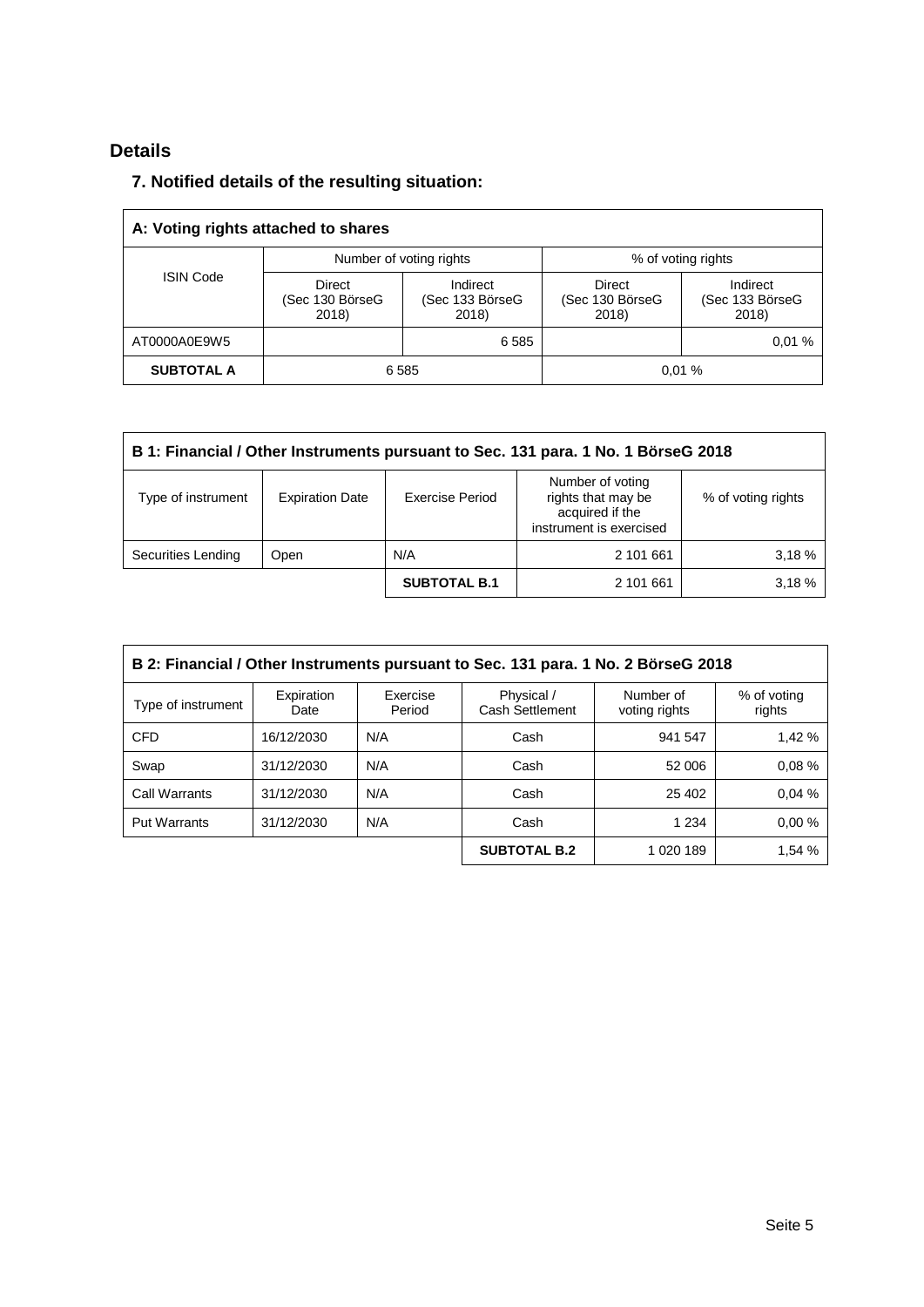# **Details**

# **7. Notified details of the resulting situation:**

| A: Voting rights attached to shares |                                    |                                      |                                    |                                      |  |  |  |
|-------------------------------------|------------------------------------|--------------------------------------|------------------------------------|--------------------------------------|--|--|--|
|                                     |                                    | Number of voting rights              | % of voting rights                 |                                      |  |  |  |
| <b>ISIN Code</b>                    | Direct<br>(Sec 130 BörseG<br>2018) | Indirect<br>(Sec 133 BörseG<br>2018) | Direct<br>(Sec 130 BörseG<br>2018) | Indirect<br>(Sec 133 BörseG<br>2018) |  |  |  |
| AT0000A0E9W5                        |                                    | 6585                                 |                                    | 0.01%                                |  |  |  |
| <b>SUBTOTAL A</b>                   | 6585<br>0.01%                      |                                      |                                    |                                      |  |  |  |

| B 1: Financial / Other Instruments pursuant to Sec. 131 para. 1 No. 1 BörseG 2018 |                        |                     |                                                                                      |                    |  |  |
|-----------------------------------------------------------------------------------|------------------------|---------------------|--------------------------------------------------------------------------------------|--------------------|--|--|
| Type of instrument                                                                | <b>Expiration Date</b> | Exercise Period     | Number of voting<br>rights that may be<br>acquired if the<br>instrument is exercised | % of voting rights |  |  |
| Securities Lending                                                                | <b>Open</b>            | N/A                 | 2 101 661                                                                            | 3.18 %             |  |  |
|                                                                                   |                        | <b>SUBTOTAL B.1</b> | 2 101 661                                                                            | 3.18 %             |  |  |

| B 2: Financial / Other Instruments pursuant to Sec. 131 para. 1 No. 2 BörseG 2018 |                    |                    |                               |                            |                       |  |  |
|-----------------------------------------------------------------------------------|--------------------|--------------------|-------------------------------|----------------------------|-----------------------|--|--|
| Type of instrument                                                                | Expiration<br>Date | Exercise<br>Period | Physical /<br>Cash Settlement | Number of<br>voting rights | % of voting<br>rights |  |  |
| <b>CFD</b>                                                                        | 16/12/2030         | N/A                | Cash                          | 941 547                    | 1.42 %                |  |  |
| Swap                                                                              | 31/12/2030         | N/A                | Cash                          | 52 006                     | 0.08%                 |  |  |
| Call Warrants                                                                     | 31/12/2030         | N/A                | Cash                          | 25 402                     | 0.04%                 |  |  |
| <b>Put Warrants</b>                                                               | 31/12/2030         | N/A                | Cash                          | 1 2 3 4                    | 0.00%                 |  |  |
|                                                                                   |                    |                    | <b>SUBTOTAL B.2</b>           | 1 020 189                  | 1,54 %                |  |  |